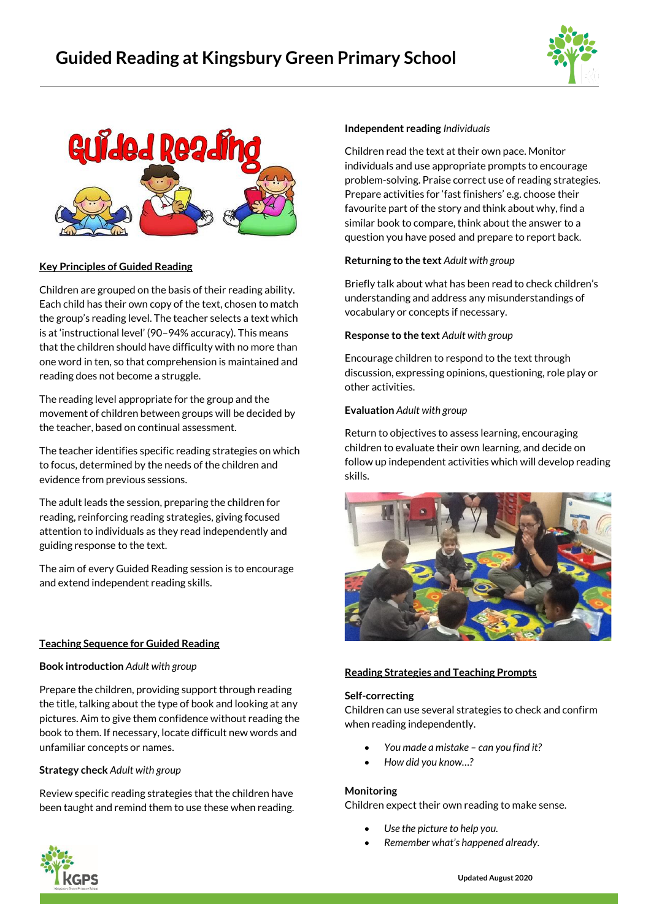



## **Key Principles of Guided Reading**

Children are grouped on the basis of their reading ability. Each child has their own copy of the text, chosen to match the group's reading level. The teacher selects a text which is at 'instructional level' (90–94% accuracy). This means that the children should have difficulty with no more than one word in ten, so that comprehension is maintained and reading does not become a struggle.

The reading level appropriate for the group and the movement of children between groups will be decided by the teacher, based on continual assessment.

The teacher identifies specific reading strategies on which to focus, determined by the needs of the children and evidence from previous sessions.

The adult leads the session, preparing the children for reading, reinforcing reading strategies, giving focused attention to individuals as they read independently and guiding response to the text.

The aim of every Guided Reading session is to encourage and extend independent reading skills.

## **Teaching Sequence for Guided Reading**

## **Book introduction** *Adult with group*

Prepare the children, providing support through reading the title, talking about the type of book and looking at any pictures. Aim to give them confidence without reading the book to them. If necessary, locate difficult new words and unfamiliar concepts or names.

## **Strategy check** *Adult with group*

Review specific reading strategies that the children have been taught and remind them to use these when reading.

#### **Independent reading** *Individuals*

Children read the text at their own pace. Monitor individuals and use appropriate prompts to encourage problem-solving. Praise correct use of reading strategies. Prepare activities for 'fast finishers' e.g. choose their favourite part of the story and think about why, find a similar book to compare, think about the answer to a question you have posed and prepare to report back.

### **Returning to the text** *Adult with group*

Briefly talk about what has been read to check children's understanding and address any misunderstandings of vocabulary or concepts if necessary.

#### **Response to the text** *Adult with group*

Encourage children to respond to the text through discussion, expressing opinions, questioning, role play or other activities.

#### **Evaluation** *Adult with group*

Return to objectives to assess learning, encouraging children to evaluate their own learning, and decide on follow up independent activities which will develop reading skills.



#### **Reading Strategies and Teaching Prompts**

#### **Self-correcting**

Children can use several strategies to check and confirm when reading independently.

- *You made a mistake – can you find it?*
- *How did you know…?*

#### **Monitoring**

Children expect their own reading to make sense.

- *Use the picture to help you.* 
	- *Remember what's happened already.*